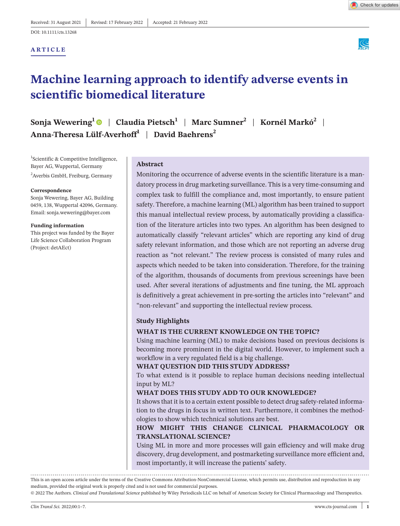**ARTICLE**



# **Machine learning approach to identify adverse events in scientific biomedical literature**

**Sonja Wewering[1](https://orcid.org/0000-0001-8625-6397)** | **Claudia Pietsch1** | **Marc Sumner2** | **Kornél Markó2** | **Anna-Theresa Lülf-Averhoff<sup>1</sup>** | **David Baehrens<sup>2</sup>**

<sup>1</sup>Scientific & Competitive Intelligence, Bayer AG, Wuppertal, Germany <sup>2</sup>Averbis GmbH, Freiburg, Germany

#### **Correspondence**

Sonja Wewering, Bayer AG, Building 0459, 138, Wuppertal 42096, Germany. Email: [sonja.wewering@bayer.com](mailto:sonja.wewering@bayer.com)

#### **Funding information**

This project was funded by the Bayer Life Science Collaboration Program (Project: detAEct)

#### **Abstract**

Monitoring the occurrence of adverse events in the scientific literature is a mandatory process in drug marketing surveillance. This is a very time-consuming and complex task to fulfill the compliance and, most importantly, to ensure patient safety. Therefore, a machine learning (ML) algorithm has been trained to support this manual intellectual review process, by automatically providing a classification of the literature articles into two types. An algorithm has been designed to automatically classify "relevant articles" which are reporting any kind of drug safety relevant information, and those which are not reporting an adverse drug reaction as "not relevant." The review process is consisted of many rules and aspects which needed to be taken into consideration. Therefore, for the training of the algorithm, thousands of documents from previous screenings have been used. After several iterations of adjustments and fine tuning, the ML approach is definitively a great achievement in pre-sorting the articles into "relevant" and "non-relevant" and supporting the intellectual review process.

#### **Study Highlights**

#### **WHAT IS THE CURRENT KNOWLEDGE ON THE TOPIC?**

Using machine learning (ML) to make decisions based on previous decisions is becoming more prominent in the digital world. However, to implement such a workflow in a very regulated field is a big challenge.

#### **WHAT QUESTION DID THIS STUDY ADDRESS?**

To what extend is it possible to replace human decisions needing intellectual input by ML?

#### **WHAT DOES THIS STUDY ADD TO OUR KNOWLEDGE?**

It shows that it is to a certain extent possible to detect drug safety-related information to the drugs in focus in written text. Furthermore, it combines the methodologies to show which technical solutions are best.

## **HOW MIGHT THIS CHANGE CLINICAL PHARMACOLOGY OR TRANSLATIONAL SCIENCE?**

Using ML in more and more processes will gain efficiency and will make drug discovery, drug development, and postmarketing surveillance more efficient and, most importantly, it will increase the patients' safety.

This is an open access article under the terms of the [Creative Commons Attribution-NonCommercial](http://creativecommons.org/licenses/by-nc/4.0/) License, which permits use, distribution and reproduction in any medium, provided the original work is properly cited and is not used for commercial purposes.

© 2022 The Authors. *Clinical and Translational Science* published by Wiley Periodicals LLC on behalf of American Society for Clinical Pharmacology and Therapeutics.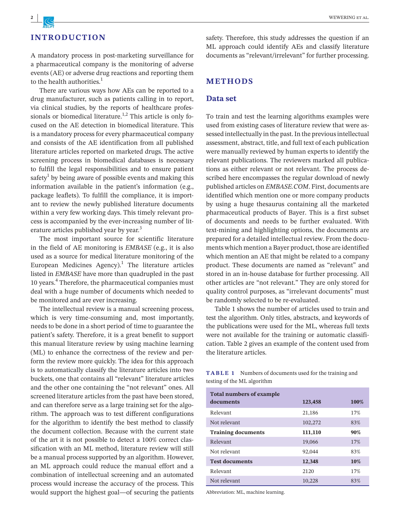## **INTRODUCTION**

A mandatory process in post-marketing surveillance for a pharmaceutical company is the monitoring of adverse events (AE) or adverse drug reactions and reporting them to the health authorities.<sup>1</sup>

There are various ways how AEs can be reported to a drug manufacturer, such as patients calling in to report, via clinical studies, by the reports of healthcare professionals or biomedical literature.<sup>1,2</sup> This article is only focused on the AE detection in biomedical literature. This is a mandatory process for every pharmaceutical company and consists of the AE identification from all published literature articles reported on marketed drugs. The active screening process in biomedical databases is necessary to fulfill the legal responsibilities and to ensure patient safety $^1$  by being aware of possible events and making this information available in the patient's information (e.g., package leaflets). To fulfill the compliance, it is important to review the newly published literature documents within a very few working days. This timely relevant process is accompanied by the ever-increasing number of literature articles published year by year.<sup>3</sup>

The most important source for scientific literature in the field of AE monitoring is *EMBASE* (e.g., it is also used as a source for medical literature monitoring of the European Medicines Agency).<sup>1</sup> The literature articles listed in *EMBASE* have more than quadrupled in the past 10 years.<sup>4</sup> Therefore, the pharmaceutical companies must deal with a huge number of documents which needed to be monitored and are ever increasing.

The intellectual review is a manual screening process, which is very time-consuming and, most importantly, needs to be done in a short period of time to guarantee the patient's safety. Therefore, it is a great benefit to support this manual literature review by using machine learning (ML) to enhance the correctness of the review and perform the review more quickly. The idea for this approach is to automatically classify the literature articles into two buckets, one that contains all "relevant" literature articles and the other one containing the "not relevant" ones. All screened literature articles from the past have been stored, and can therefore serve as a large training set for the algorithm. The approach was to test different configurations for the algorithm to identify the best method to classify the document collection. Because with the current state of the art it is not possible to detect a 100% correct classification with an ML method, literature review will still be a manual process supported by an algorithm. However, an ML approach could reduce the manual effort and a combination of intellectual screening and an automated process would increase the accuracy of the process. This would support the highest goal—of securing the patients

safety. Therefore, this study addresses the question if an ML approach could identify AEs and classify literature documents as "relevant/irrelevant" for further processing.

## **METHODS**

## **Data set**

To train and test the learning algorithms examples were used from existing cases of literature review that were assessed intellectually in the past. In the previous intellectual assessment, abstract, title, and full text of each publication were manually reviewed by human experts to identify the relevant publications. The reviewers marked all publications as either relevant or not relevant. The process described here encompasses the regular download of newly published articles on *EMBASE.COM*. First, documents are identified which mention one or more company products by using a huge thesaurus containing all the marketed pharmaceutical products of Bayer. This is a first subset of documents and needs to be further evaluated. With text-mining and highlighting options, the documents are prepared for a detailed intellectual review. From the documents which mention a Bayer product, those are identified which mention an AE that might be related to a company product. These documents are named as "relevant" and stored in an in-house database for further processing. All other articles are "not relevant." They are only stored for quality control purposes, as "irrelevant documents" must be randomly selected to be re-evaluated.

Table 1 shows the number of articles used to train and test the algorithm. Only titles, abstracts, and keywords of the publications were used for the ML, whereas full texts were not available for the training or automatic classification. Table 2 gives an example of the content used from the literature articles.

**TABLE 1** Numbers of documents used for the training and testing of the ML algorithm

| <b>Total numbers of example</b> |         |      |  |  |  |  |  |
|---------------------------------|---------|------|--|--|--|--|--|
| documents                       | 123,458 | 100% |  |  |  |  |  |
| Relevant                        | 21,186  | 17%  |  |  |  |  |  |
| Not relevant                    | 102,272 | 83%  |  |  |  |  |  |
| <b>Training documents</b>       | 111,110 | 90%  |  |  |  |  |  |
| Relevant                        | 19,066  | 17%  |  |  |  |  |  |
| Not relevant                    | 92,044  | 83%  |  |  |  |  |  |
| <b>Test documents</b>           | 12,348  | 10%  |  |  |  |  |  |
| Relevant                        | 2120    | 17%  |  |  |  |  |  |
| Not relevant                    | 10,228  | 83%  |  |  |  |  |  |

Abbreviation: ML, machine learning.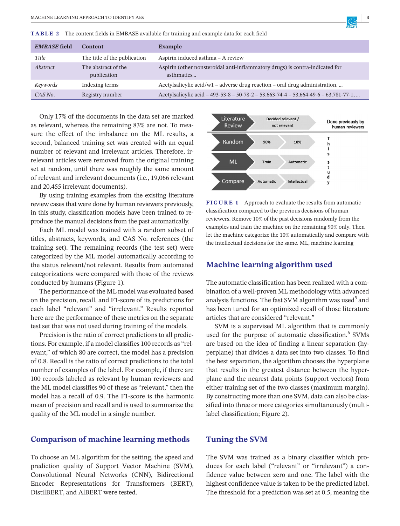**TABLE 2** The content fields in EMBASE available for training and example data for each field

| <b>EMBASE</b> field | <b>Content</b>                     | Example                                                                                    |
|---------------------|------------------------------------|--------------------------------------------------------------------------------------------|
| Title               | The title of the publication       | Aspirin induced asthma - A review                                                          |
| Abstract            | The abstract of the<br>publication | Aspirin (other nonsteroidal anti-inflammatory drugs) is contra-indicated for<br>asthmatics |
| Keywords            | Indexing terms                     | Acetylsalicylic acid/w1 – adverse drug reaction – oral drug administration,                |
| CAS No.             | Registry number                    | Acetylsalicylic acid - 493-53-8 - 50-78-2 - 53,663-74-4 - 53,664-49-6 - 63,781-77-1,       |

Only 17% of the documents in the data set are marked as relevant, whereas the remaining 83% are not. To measure the effect of the imbalance on the ML results, a second, balanced training set was created with an equal number of relevant and irrelevant articles. Therefore, irrelevant articles were removed from the original training set at random, until there was roughly the same amount of relevant and irrelevant documents (i.e., 19,066 relevant and 20,455 irrelevant documents).

By using training examples from the existing literature review cases that were done by human reviewers previously, in this study, classification models have been trained to reproduce the manual decisions from the past automatically.

Each ML model was trained with a random subset of titles, abstracts, keywords, and CAS No. references (the training set). The remaining records (the test set) were categorized by the ML model automatically according to the status relevant/not relevant. Results from automated categorizations were compared with those of the reviews conducted by humans (Figure 1).

The performance of the ML model was evaluated based on the precision, recall, and F1-score of its predictions for each label "relevant" and "irrelevant." Results reported here are the performance of these metrics on the separate test set that was not used during training of the models.

Precision is the ratio of correct predictions to all predictions. For example, if a model classifies 100 records as "relevant," of which 80 are correct, the model has a precision of 0.8. Recall is the ratio of correct predictions to the total number of examples of the label. For example, if there are 100 records labeled as relevant by human reviewers and the ML model classifies 90 of these as "relevant," then the model has a recall of 0.9. The F1-score is the harmonic mean of precision and recall and is used to summarize the quality of the ML model in a single number.

## **Comparison of machine learning methods**

To choose an ML algorithm for the setting, the speed and prediction quality of Support Vector Machine (SVM), Convolutional Neural Networks (CNN), Bidirectional Encoder Representations for Transformers (BERT), DistilBERT, and AlBERT were tested.



**FIGURE 1** Approach to evaluate the results from automatic classification compared to the previous decisions of human reviewers. Remove 10% of the past decisions randomly from the examples and train the machine on the remaining 90% only. Then let the machine categorize the 10% automatically and compare with the intellectual decisions for the same. ML, machine learning

## **Machine learning algorithm used**

The automatic classification has been realized with a combination of a well-proven ML methodology with advanced analysis functions. The fast SVM algorithm was used<sup>5</sup> and has been tuned for an optimized recall of those literature articles that are considered "relevant."

SVM is a supervised ML algorithm that is commonly used for the purpose of automatic classification.<sup>6</sup> SVMs are based on the idea of finding a linear separation (hyperplane) that divides a data set into two classes. To find the best separation, the algorithm chooses the hyperplane that results in the greatest distance between the hyperplane and the nearest data points (support vectors) from either training set of the two classes (maximum margin). By constructing more than one SVM, data can also be classified into three or more categories simultaneously (multilabel classification; Figure 2).

## **Tuning the SVM**

The SVM was trained as a binary classifier which produces for each label ("relevant" or "irrelevant") a confidence value between zero and one. The label with the highest confidence value is taken to be the predicted label. The threshold for a prediction was set at 0.5, meaning the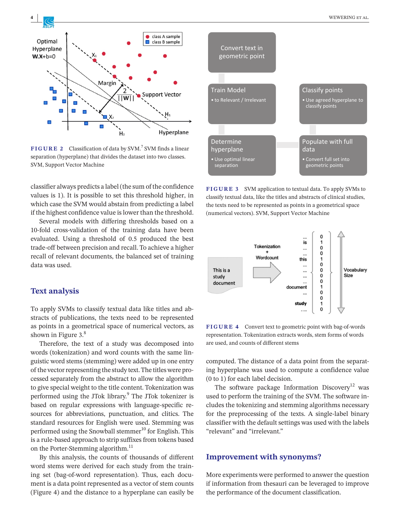

**FIGURE 2** Classification of data by SVM.<sup>7</sup> SVM finds a linear separation (hyperplane) that divides the dataset into two classes. SVM, Support Vector Machine

classifier always predicts a label (the sum of the confidence values is 1). It is possible to set this threshold higher, in which case the SVM would abstain from predicting a label if the highest confidence value is lower than the threshold.

Several models with differing thresholds based on a 10-fold cross-validation of the training data have been evaluated. Using a threshold of 0.5 produced the best trade-off between precision and recall. To achieve a higher recall of relevant documents, the balanced set of training data was used.

## **Text analysis**

To apply SVMs to classify textual data like titles and abstracts of publications, the texts need to be represented as points in a geometrical space of numerical vectors, as shown in Figure 3.<sup>8</sup>

Therefore, the text of a study was decomposed into words (tokenization) and word counts with the same linguistic word stems (stemming) were added up in one entry of the vector representing the study text. The titles were processed separately from the abstract to allow the algorithm to give special weight to the title content. Tokenization was performed using the JTok library.<sup>9</sup> The JTok tokenizer is based on regular expressions with language-specific resources for abbreviations, punctuation, and clitics. The standard resources for English were used. Stemming was performed using the Snowball stemmer<sup>10</sup> for English. This is a rule-based approach to strip suffixes from tokens based on the Porter-Stemming algorithm.<sup>11</sup>

By this analysis, the counts of thousands of different word stems were derived for each study from the training set (bag-of-word representation). Thus, each document is a data point represented as a vector of stem counts (Figure 4) and the distance to a hyperplane can easily be



**FIGURE 3** SVM application to textual data. To apply SVMs to classify textual data, like the titles and abstracts of clinical studies, the texts need to be represented as points in a geometrical space (numerical vectors). SVM, Support Vector Machine



**FIGURE 4** Convert text to geometric point with bag-of-words representation. Tokenization extracts words, stem forms of words are used, and counts of different stems

computed. The distance of a data point from the separating hyperplane was used to compute a confidence value (0 to 1) for each label decision.

The software package Information Discovery<sup>12</sup> was used to perform the training of the SVM. The software includes the tokenizing and stemming algorithms necessary for the preprocessing of the texts. A single-label binary classifier with the default settings was used with the labels "relevant" and "irrelevant."

#### **Improvement with synonyms?**

More experiments were performed to answer the question if information from thesauri can be leveraged to improve the performance of the document classification.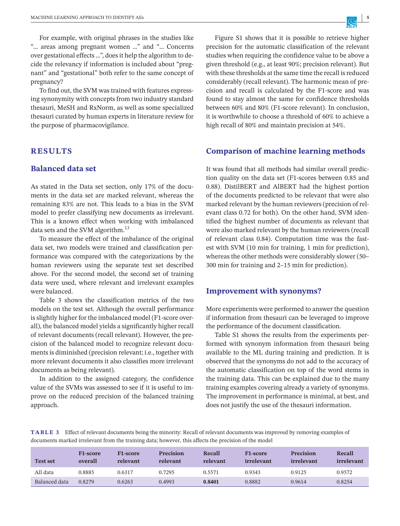For example, with original phrases in the studies like "… areas among pregnant women …" and "… Concerns over gestational effects …", does it help the algorithm to decide the relevancy if information is included about "pregnant" and "gestational" both refer to the same concept of pregnancy?

To find out, the SVM was trained with features expressing synonymity with concepts from two industry standard thesauri, MeSH and RxNorm, as well as some specialized thesauri curated by human experts in literature review for the purpose of pharmacovigilance.

## **RESULTS**

## **Balanced data set**

As stated in the Data set section, only 17% of the documents in the data set are marked relevant, whereas the remaining 83% are not. This leads to a bias in the SVM model to prefer classifying new documents as irrelevant. This is a known effect when working with imbalanced data sets and the SVM algorithm.<sup>13</sup>

To measure the effect of the imbalance of the original data set, two models were trained and classification performance was compared with the categorizations by the human reviewers using the separate test set described above. For the second model, the second set of training data were used, where relevant and irrelevant examples were balanced.

Table 3 shows the classification metrics of the two models on the test set. Although the overall performance is slightly higher for the imbalanced model (F1-score overall), the balanced model yields a significantly higher recall of relevant documents (recall relevant). However, the precision of the balanced model to recognize relevant documents is diminished (precision relevant; i.e., together with more relevant documents it also classifies more irrelevant documents as being relevant).

In addition to the assigned category, the confidence value of the SVMs was assessed to see if it is useful to improve on the reduced precision of the balanced training approach.

Figure S1 shows that it is possible to retrieve higher precision for the automatic classification of the relevant studies when requiring the confidence value to be above a given threshold (e.g., at least 90%; precision relevant). But with these thresholds at the same time the recall is reduced considerably (recall relevant). The harmonic mean of precision and recall is calculated by the F1-score and was found to stay almost the same for confidence thresholds between 60% and 80% (F1-score relevant). In conclusion, it is worthwhile to choose a threshold of 60% to achieve a high recall of 80% and maintain precision at 54%.

#### **Comparison of machine learning methods**

It was found that all methods had similar overall prediction quality on the data set (F1-scores between 0.85 and 0.88). DistilBERT and AlBERT had the highest portion of the documents predicted to be relevant that were also marked relevant by the human reviewers (precision of relevant class 0.72 for both). On the other hand, SVM identified the highest number of documents as relevant that were also marked relevant by the human reviewers (recall of relevant class 0.84). Computation time was the fastest with SVM (10 min for training, 1 min for prediction), whereas the other methods were considerably slower (50– 300 min for training and 2–15 min for prediction).

#### **Improvement with synonyms?**

More experiments were performed to answer the question if information from thesauri can be leveraged to improve the performance of the document classification.

Table S1 shows the results from the experiments performed with synonym information from thesauri being available to the ML during training and prediction. It is observed that the synonyms do not add to the accuracy of the automatic classification on top of the word stems in the training data. This can be explained due to the many training examples covering already a variety of synonyms. The improvement in performance is minimal, at best, and does not justify the use of the thesauri information.

**TABLE 3** Effect of relevant documents being the minority: Recall of relevant documents was improved by removing examples of documents marked irrelevant from the training data; however, this affects the precision of the model

| <b>Test set</b> | F <sub>1</sub> -score<br>overall | F <sub>1</sub> -score<br>relevant | <b>Precision</b><br>relevant | Recall<br>relevant | <b>F1-score</b><br>irrelevant | <b>Precision</b><br>irrelevant | Recall<br>irrelevant |
|-----------------|----------------------------------|-----------------------------------|------------------------------|--------------------|-------------------------------|--------------------------------|----------------------|
| All data        | 0.8885                           | 0.6317                            | 0.7295                       | 0.5571             | 0.9343                        | 0.9125                         | 0.9572               |
| Balanced data   | 0.8279                           | 0.6263                            | 0.4993                       | 0.8401             | 0.8882                        | 0.9614                         | 0.8254               |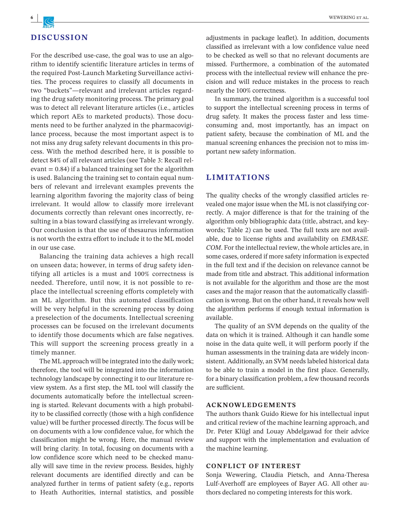

## **DISCUSSION**

For the described use-case, the goal was to use an algorithm to identify scientific literature articles in terms of the required Post-Launch Marketing Surveillance activities. The process requires to classify all documents in two "buckets"—relevant and irrelevant articles regarding the drug safety monitoring process. The primary goal was to detect all relevant literature articles (i.e., articles which report AEs to marketed products). Those documents need to be further analyzed in the pharmacovigilance process, because the most important aspect is to not miss any drug safety relevant documents in this process. With the method described here, it is possible to detect 84% of all relevant articles (see Table 3: Recall relevant  $= 0.84$ ) if a balanced training set for the algorithm is used. Balancing the training set to contain equal numbers of relevant and irrelevant examples prevents the learning algorithm favoring the majority class of being irrelevant. It would allow to classify more irrelevant documents correctly than relevant ones incorrectly, resulting in a bias toward classifying as irrelevant wrongly. Our conclusion is that the use of thesaurus information is not worth the extra effort to include it to the ML model in our use case.

Balancing the training data achieves a high recall on unseen data; however, in terms of drug safety identifying all articles is a must and 100% correctness is needed. Therefore, until now, it is not possible to replace the intellectual screening efforts completely with an ML algorithm. But this automated classification will be very helpful in the screening process by doing a preselection of the documents. Intellectual screening processes can be focused on the irrelevant documents to identify those documents which are false negatives. This will support the screening process greatly in a timely manner.

The ML approach will be integrated into the daily work; therefore, the tool will be integrated into the information technology landscape by connecting it to our literature review system. As a first step, the ML tool will classify the documents automatically before the intellectual screening is started. Relevant documents with a high probability to be classified correctly (those with a high confidence value) will be further processed directly. The focus will be on documents with a low confidence value, for which the classification might be wrong. Here, the manual review will bring clarity. In total, focusing on documents with a low confidence score which need to be checked manually will save time in the review process. Besides, highly relevant documents are identified directly and can be analyzed further in terms of patient safety (e.g., reports to Heath Authorities, internal statistics, and possible

adjustments in package leaflet). In addition, documents classified as irrelevant with a low confidence value need to be checked as well so that no relevant documents are missed. Furthermore, a combination of the automated process with the intellectual review will enhance the precision and will reduce mistakes in the process to reach nearly the 100% correctness.

In summary, the trained algorithm is a successful tool to support the intellectual screening process in terms of drug safety. It makes the process faster and less timeconsuming and, most importantly, has an impact on patient safety, because the combination of ML and the manual screening enhances the precision not to miss important new safety information.

## **LIMITATIONS**

The quality checks of the wrongly classified articles revealed one major issue when the ML is not classifying correctly. A major difference is that for the training of the algorithm only bibliographic data (title, abstract, and keywords; Table 2) can be used. The full texts are not available, due to license rights and availability on *EMBASE. COM*. For the intellectual review, the whole articles are, in some cases, ordered if more safety information is expected in the full text and if the decision on relevance cannot be made from title and abstract. This additional information is not available for the algorithm and those are the most cases and the major reason that the automatically classification is wrong. But on the other hand, it reveals how well the algorithm performs if enough textual information is available.

The quality of an SVM depends on the quality of the data on which it is trained. Although it can handle some noise in the data quite well, it will perform poorly if the human assessments in the training data are widely inconsistent. Additionally, an SVM needs labeled historical data to be able to train a model in the first place. Generally, for a binary classification problem, a few thousand records are sufficient.

#### **ACKNOWLEDGEMENTS**

The authors thank Guido Riewe for his intellectual input and critical review of the machine learning approach, and Dr. Peter Klügl and Louay Abdelgawad for their advice and support with the implementation and evaluation of the machine learning.

#### **CONFLICT OF INTEREST**

Sonja Wewering, Claudia Pietsch, and Anna-Theresa Lulf-Averhoff are employees of Bayer AG. All other authors declared no competing interests for this work.